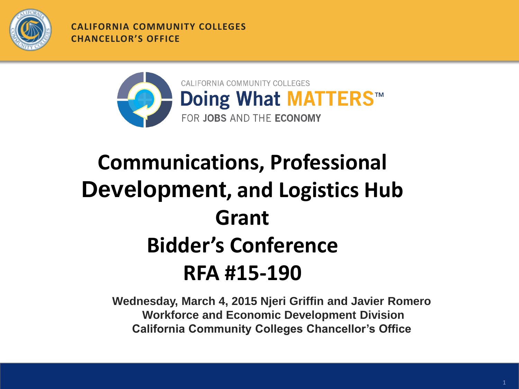

**CALIFORNIA COMMUNITY COLLEGES CHANCELLOR'S OFFICE**



### **Communications, Professional Development, and Logistics Hub Grant Bidder's Conference RFA #15-190**

**Wednesday, March 4, 2015 Njeri Griffin and Javier Romero Workforce and Economic Development Division California Community Colleges Chancellor's Office**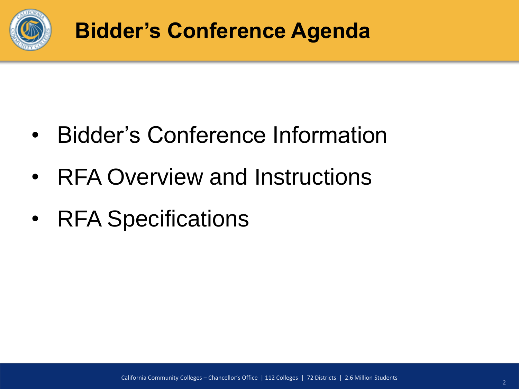

- Bidder's Conference Information
- RFA Overview and Instructions
- RFA Specifications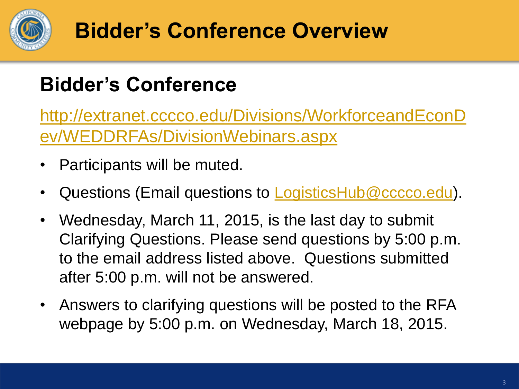

### **Bidder's Conference Overview**

#### **Bidder's Conference**

[http://extranet.cccco.edu/Divisions/WorkforceandEconD](http://extranet.cccco.edu/Divisions/WorkforceandEconDev/WEDDRFAs/DivisionWebinars.aspx) [ev/WEDDRFAs/DivisionWebinars.aspx](http://extranet.cccco.edu/Divisions/WorkforceandEconDev/WEDDRFAs/DivisionWebinars.aspx)

- Participants will be muted.
- Questions (Email questions to **LogisticsHub@cccco.edu**).
- Wednesday, March 11, 2015, is the last day to submit Clarifying Questions. Please send questions by 5:00 p.m. to the email address listed above. Questions submitted after 5:00 p.m. will not be answered.
- Answers to clarifying questions will be posted to the RFA webpage by 5:00 p.m. on Wednesday, March 18, 2015.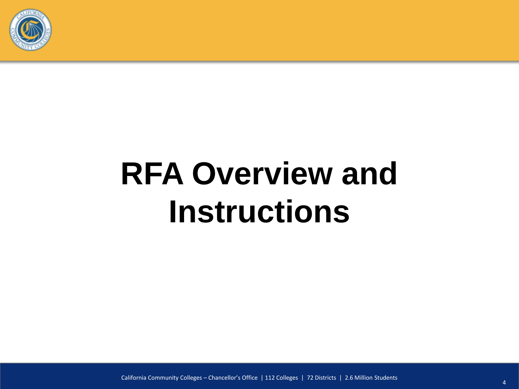

# **RFA Overview and Instructions**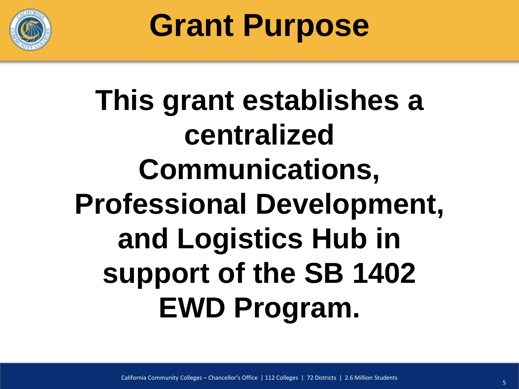

**Grant Purpose**

# **This grant establishes a centralized Communications, Professional Development, and Logistics Hub in support of the SB 1402 EWD Program.**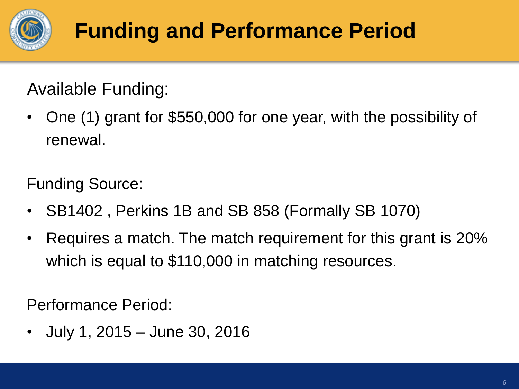

### **Funding and Performance Period**

Available Funding:

• One (1) grant for \$550,000 for one year, with the possibility of renewal.

Funding Source:

- SB1402 , Perkins 1B and SB 858 (Formally SB 1070)
- Requires a match. The match requirement for this grant is 20% which is equal to \$110,000 in matching resources.

Performance Period:

• July 1, 2015 – June 30, 2016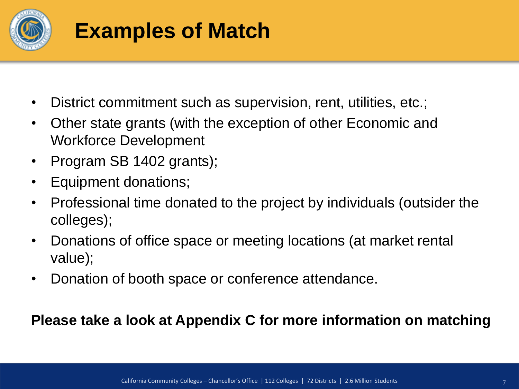

### **Examples of Match**

- District commitment such as supervision, rent, utilities, etc.;
- Other state grants (with the exception of other Economic and Workforce Development
- Program SB 1402 grants);
- Equipment donations;
- Professional time donated to the project by individuals (outsider the colleges);
- Donations of office space or meeting locations (at market rental value);
- Donation of booth space or conference attendance.

#### **Please take a look at Appendix C for more information on matching**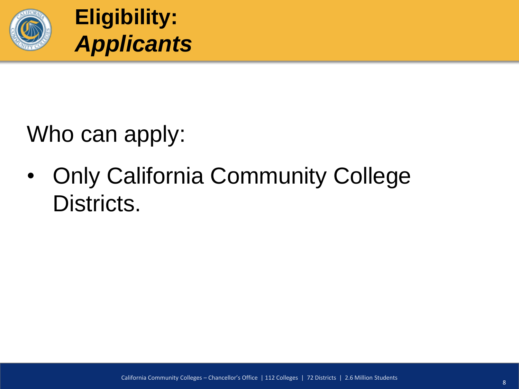

Who can apply:

• Only California Community College Districts.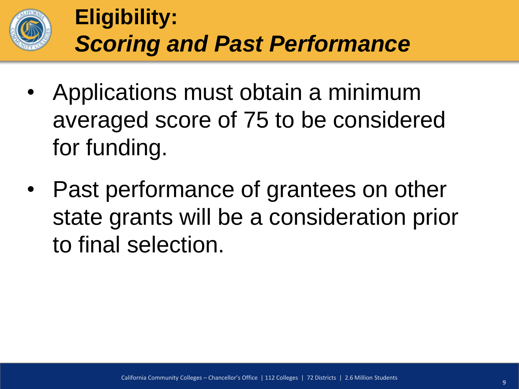

### **Eligibility:** *Scoring and Past Performance*

- Applications must obtain a minimum averaged score of 75 to be considered for funding.
- Past performance of grantees on other state grants will be a consideration prior to final selection.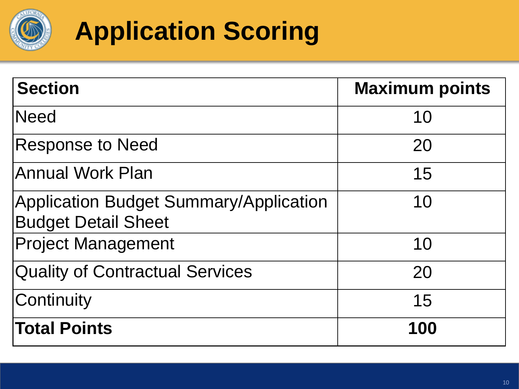

### **Application Scoring**

| <b>Section</b>                                                              | <b>Maximum points</b> |
|-----------------------------------------------------------------------------|-----------------------|
| <b>Need</b>                                                                 | 10                    |
| <b>Response to Need</b>                                                     | 20                    |
| <b>Annual Work Plan</b>                                                     | 15                    |
| <b>Application Budget Summary/Application</b><br><b>Budget Detail Sheet</b> | 10                    |
| <b>Project Management</b>                                                   | 10                    |
| <b>Quality of Contractual Services</b>                                      | 20                    |
| Continuity                                                                  | 15                    |
| <b>Total Points</b>                                                         | 100                   |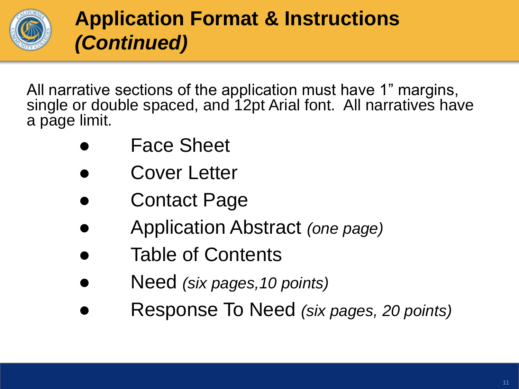

All narrative sections of the application must have 1" margins, single or double spaced, and 12pt Arial font. All narratives have a page limit.

- **Face Sheet**
- Cover Letter
- **Contact Page**
- Application Abstract *(one page)*
- Table of Contents
- Need *(six pages,10 points)*
- Response To Need *(six pages, 20 points)*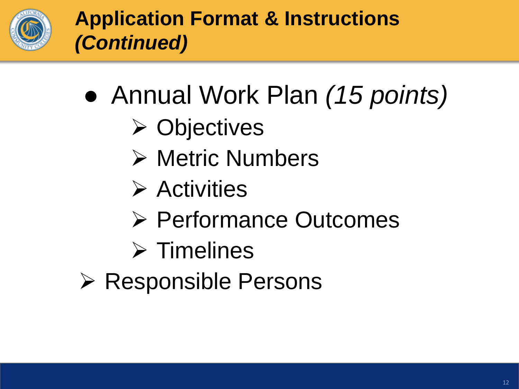

- Annual Work Plan *(15 points)*
	- **≻ Objectives**
	- **► Metric Numbers**
	- $\triangleright$  Activities
	- Performance Outcomes
	- $\triangleright$  Timelines
- $\triangleright$  Responsible Persons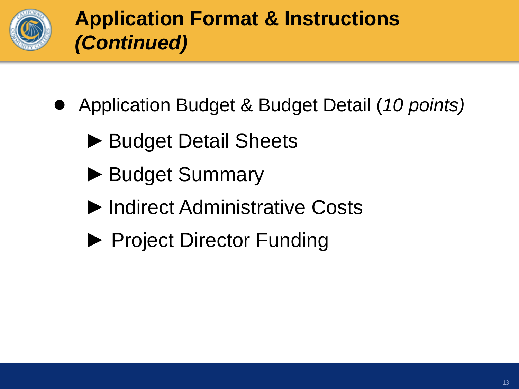

- Application Budget & Budget Detail (10 points)
	- ► Budget Detail Sheets
	- ► Budget Summary
	- ►Indirect Administrative Costs
	- ► Project Director Funding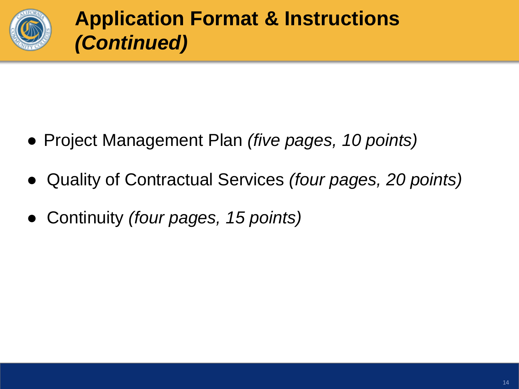

- Project Management Plan *(five pages, 10 points)*
- Quality of Contractual Services *(four pages, 20 points)*
- Continuity *(four pages, 15 points)*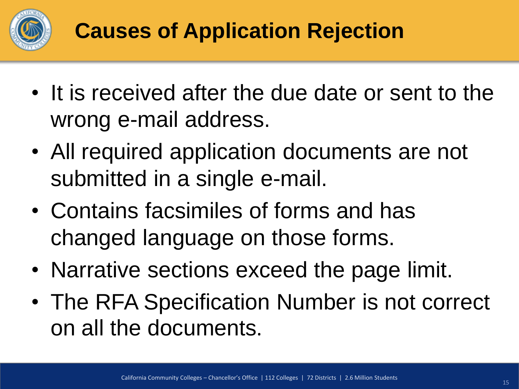

### **Causes of Application Rejection**

- It is received after the due date or sent to the wrong e-mail address.
- All required application documents are not submitted in a single e-mail.
- Contains facsimiles of forms and has changed language on those forms.
- Narrative sections exceed the page limit.
- The RFA Specification Number is not correct on all the documents.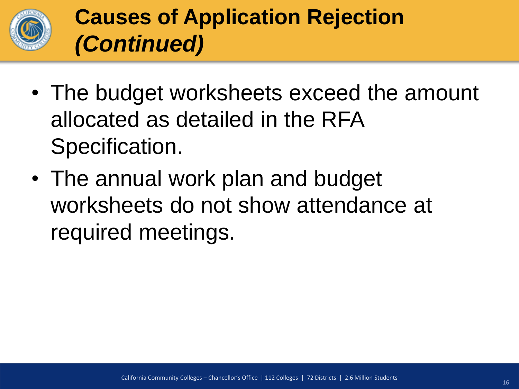

### **Causes of Application Rejection** *(Continued)*

- The budget worksheets exceed the amount allocated as detailed in the RFA Specification.
- The annual work plan and budget worksheets do not show attendance at required meetings.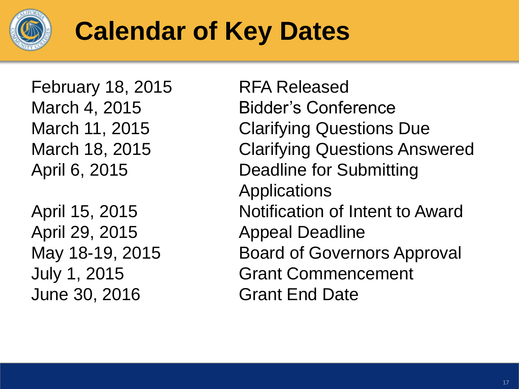

### **Calendar of Key Dates**

February 18, 2015 RFA Released

April 29, 2015 Appeal Deadline June 30, 2016 Grant End Date

March 4, 2015 Bidder's Conference March 11, 2015 Clarifying Questions Due March 18, 2015 Clarifying Questions Answered April 6, 2015 Deadline for Submitting Applications April 15, 2015 Notification of Intent to Award May 18-19, 2015 Board of Governors Approval July 1, 2015 Grant Commencement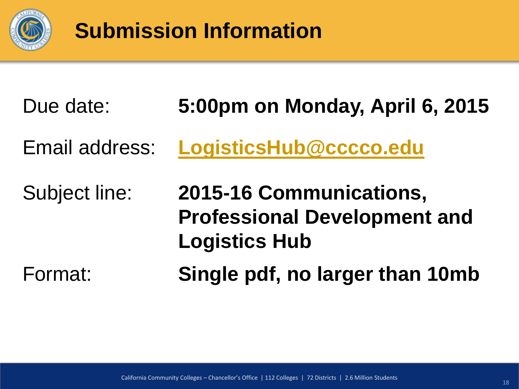

### **Submission Information**

| Due date:      | 5:00pm on Monday, April 6, 2015                                                        |
|----------------|----------------------------------------------------------------------------------------|
| Email address: | LogisticsHub@cccco.edu                                                                 |
| Subject line:  | 2015-16 Communications,<br><b>Professional Development and</b><br><b>Logistics Hub</b> |
| Format:        | Single pdf, no larger than 10mb                                                        |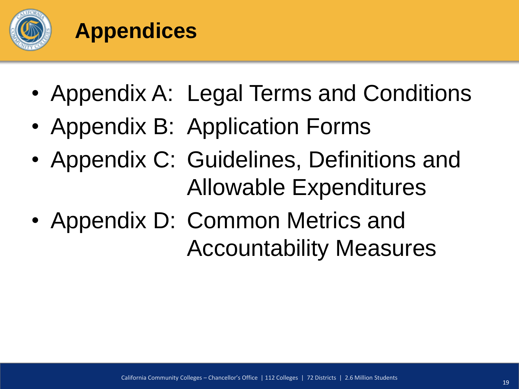

### **Appendices**

- Appendix A: Legal Terms and Conditions
- Appendix B: Application Forms
- Appendix C: Guidelines, Definitions and Allowable Expenditures
- Appendix D: Common Metrics and Accountability Measures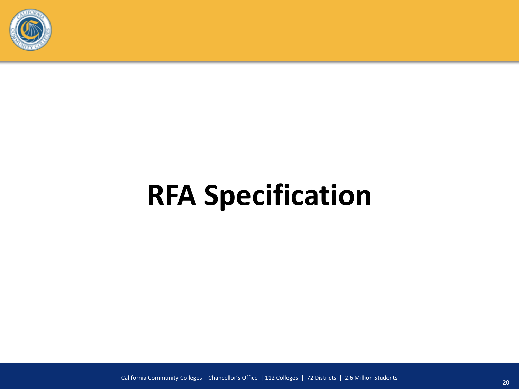

# **RFA Specification**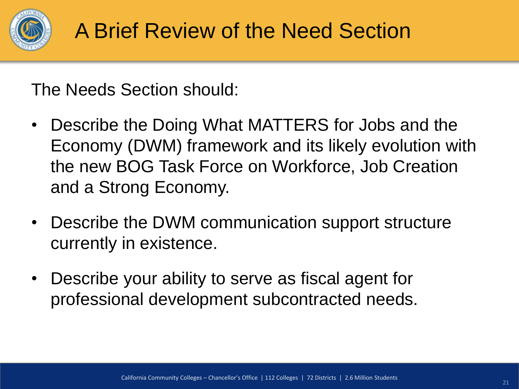

The Needs Section should:

- Describe the Doing What MATTERS for Jobs and the Economy (DWM) framework and its likely evolution with the new BOG Task Force on Workforce, Job Creation and a Strong Economy.
- Describe the DWM communication support structure currently in existence.
- Describe your ability to serve as fiscal agent for professional development subcontracted needs.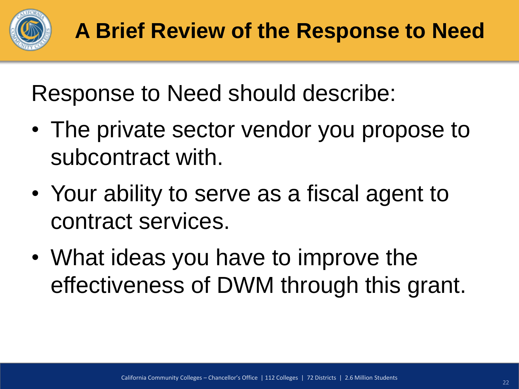

Response to Need should describe:

- The private sector vendor you propose to subcontract with.
- Your ability to serve as a fiscal agent to contract services.
- What ideas you have to improve the effectiveness of DWM through this grant.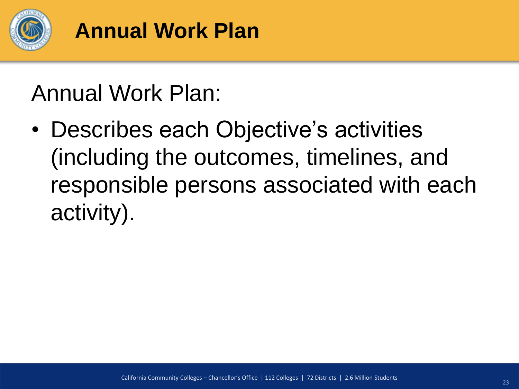

### Annual Work Plan:

• Describes each Objective's activities (including the outcomes, timelines, and responsible persons associated with each activity).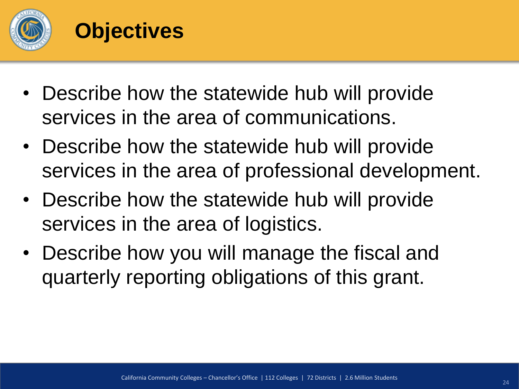

#### **Objectives**

- Describe how the statewide hub will provide services in the area of communications.
- Describe how the statewide hub will provide services in the area of professional development.
- Describe how the statewide hub will provide services in the area of logistics.
- Describe how you will manage the fiscal and quarterly reporting obligations of this grant.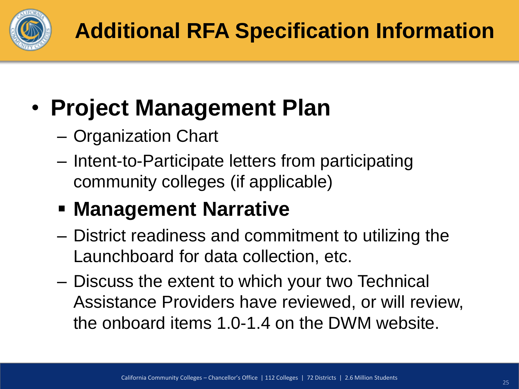

### • **Project Management Plan**

- Organization Chart
- Intent-to-Participate letters from participating community colleges (if applicable)
- **Management Narrative**
- District readiness and commitment to utilizing the Launchboard for data collection, etc.
- Discuss the extent to which your two Technical Assistance Providers have reviewed, or will review, the onboard items 1.0-1.4 on the DWM website.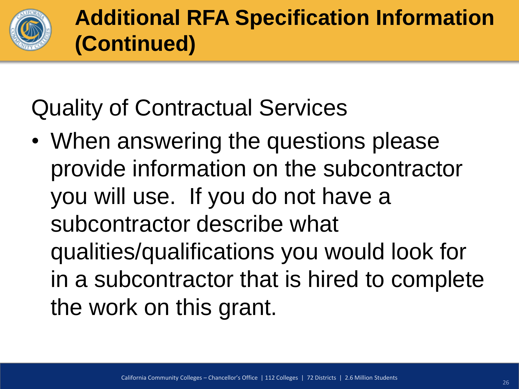

### Quality of Contractual Services

• When answering the questions please provide information on the subcontractor you will use. If you do not have a subcontractor describe what qualities/qualifications you would look for in a subcontractor that is hired to complete the work on this grant.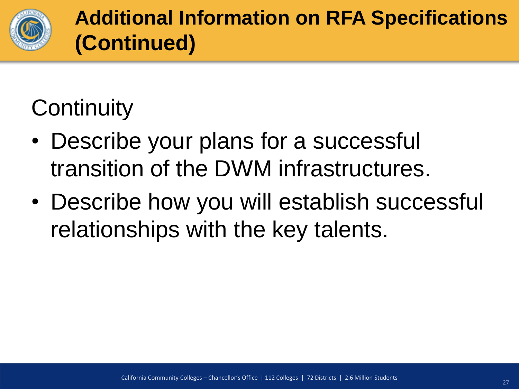

**Additional Information on RFA Specifications (Continued)**

### **Continuity**

- Describe your plans for a successful transition of the DWM infrastructures.
- Describe how you will establish successful relationships with the key talents.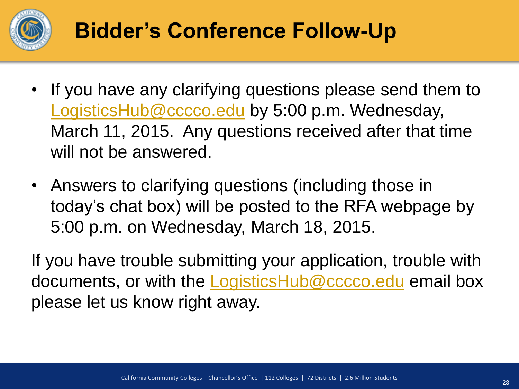

### **Bidder's Conference Follow-Up**

- If you have any clarifying questions please send them to [LogisticsHub@cccco.edu](mailto:LogisticsHub@cccco.edu) by 5:00 p.m. Wednesday, March 11, 2015. Any questions received after that time will not be answered.
- Answers to clarifying questions (including those in today's chat box) will be posted to the RFA webpage by 5:00 p.m. on Wednesday, March 18, 2015.

If you have trouble submitting your application, trouble with documents, or with the **LogisticsHub@cccco.edu** email box please let us know right away.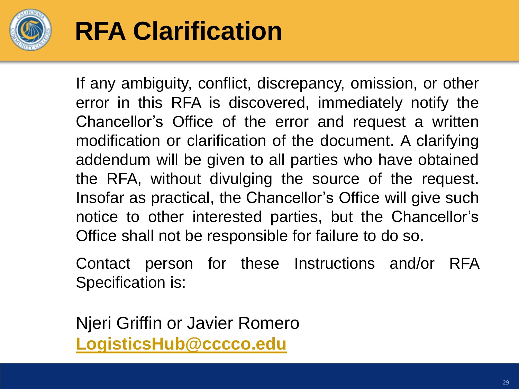

### **RFA Clarification**

If any ambiguity, conflict, discrepancy, omission, or other error in this RFA is discovered, immediately notify the Chancellor's Office of the error and request a written modification or clarification of the document. A clarifying addendum will be given to all parties who have obtained the RFA, without divulging the source of the request. Insofar as practical, the Chancellor's Office will give such notice to other interested parties, but the Chancellor's Office shall not be responsible for failure to do so.

Contact person for these Instructions and/or RFA Specification is:

Njeri Griffin or Javier Romero **[LogisticsHub@cccco.edu](mailto:LogisticsHub@cccco.edu)**